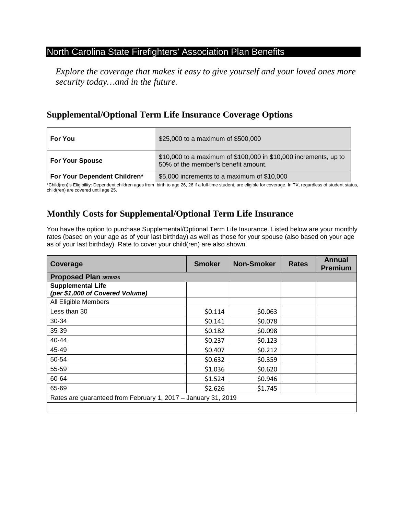## North Carolina State Firefighters' Association Plan Benefits

*Explore the coverage that makes it easy to give yourself and your loved ones more security today…and in the future.*

# **Supplemental/Optional Term Life Insurance Coverage Options**

| <b>For You</b>               | \$25,000 to a maximum of \$500,000                                                                      |  |  |  |  |
|------------------------------|---------------------------------------------------------------------------------------------------------|--|--|--|--|
| <b>For Your Spouse</b>       | \$10,000 to a maximum of \$100,000 in \$10,000 increments, up to<br>50% of the member's benefit amount. |  |  |  |  |
| For Your Dependent Children* | \$5,000 increments to a maximum of \$10,000                                                             |  |  |  |  |

\*Child(ren)'s Eligibility: Dependent children ages from birth to age 26, 26 if a full-time student, are eligible for coverage. In TX, regardless of student status, child(ren) are covered until age 25.

# **Monthly Costs for Supplemental/Optional Term Life Insurance**

You have the option to purchase Supplemental/Optional Term Life Insurance. Listed below are your monthly rates (based on your age as of your last birthday) as well as those for your spouse (also based on your age as of your last birthday). Rate to cover your child(ren) are also shown.

| Coverage                                                      | <b>Smoker</b> | <b>Non-Smoker</b> | <b>Rates</b> | <b>Annual</b><br><b>Premium</b> |  |  |  |
|---------------------------------------------------------------|---------------|-------------------|--------------|---------------------------------|--|--|--|
| Proposed Plan 3576836                                         |               |                   |              |                                 |  |  |  |
| <b>Supplemental Life</b><br>(per \$1,000 of Covered Volume)   |               |                   |              |                                 |  |  |  |
| All Eligible Members                                          |               |                   |              |                                 |  |  |  |
| Less than 30                                                  | \$0.114       | \$0.063           |              |                                 |  |  |  |
| 30-34                                                         | \$0.141       | \$0.078           |              |                                 |  |  |  |
| 35-39                                                         | \$0.182       | \$0.098           |              |                                 |  |  |  |
| 40-44                                                         | \$0.237       | \$0.123           |              |                                 |  |  |  |
| 45-49                                                         | \$0.407       | \$0.212           |              |                                 |  |  |  |
| 50-54                                                         | \$0.632       | \$0.359           |              |                                 |  |  |  |
| 55-59                                                         | \$1.036       | \$0.620           |              |                                 |  |  |  |
| 60-64                                                         | \$1.524       | \$0.946           |              |                                 |  |  |  |
| 65-69                                                         | \$2.626       | \$1.745           |              |                                 |  |  |  |
| Rates are guaranteed from February 1, 2017 - January 31, 2019 |               |                   |              |                                 |  |  |  |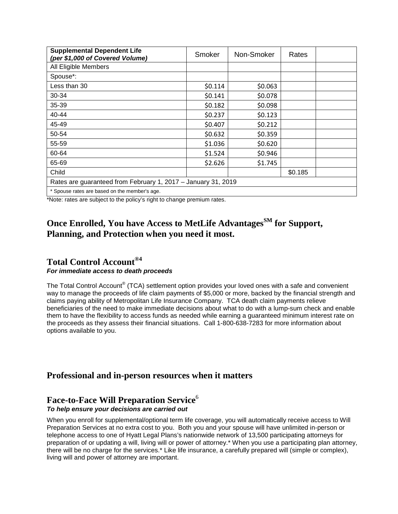| <b>Supplemental Dependent Life</b><br>(per \$1,000 of Covered Volume) | Smoker  | Non-Smoker | Rates   |  |  |  |  |
|-----------------------------------------------------------------------|---------|------------|---------|--|--|--|--|
| All Eligible Members                                                  |         |            |         |  |  |  |  |
| Spouse*:                                                              |         |            |         |  |  |  |  |
| Less than 30                                                          | \$0.114 | \$0.063    |         |  |  |  |  |
| 30-34                                                                 | \$0.141 | \$0.078    |         |  |  |  |  |
| 35-39                                                                 | \$0.182 | \$0.098    |         |  |  |  |  |
| 40-44                                                                 | \$0.237 | \$0.123    |         |  |  |  |  |
| 45-49                                                                 | \$0.407 | \$0.212    |         |  |  |  |  |
| 50-54                                                                 | \$0.632 | \$0.359    |         |  |  |  |  |
| 55-59                                                                 | \$1.036 | \$0.620    |         |  |  |  |  |
| 60-64                                                                 | \$1.524 | \$0.946    |         |  |  |  |  |
| 65-69                                                                 | \$2.626 | \$1.745    |         |  |  |  |  |
| Child                                                                 |         |            | \$0.185 |  |  |  |  |
| Rates are guaranteed from February 1, 2017 - January 31, 2019         |         |            |         |  |  |  |  |
| * Spouse rates are based on the member's age.                         |         |            |         |  |  |  |  |

\*Note: rates are subject to the policy's right to change premium rates.

# **Once Enrolled, You have Access to MetLife AdvantagesSM for Support, Planning, and Protection when you need it most.**

#### **Total Control Account®4** *For immediate access to death proceeds*

The Total Control Account<sup>®</sup> (TCA) settlement option provides your loved ones with a safe and convenient way to manage the proceeds of life claim payments of \$5,000 or more, backed by the financial strength and claims paying ability of Metropolitan Life Insurance Company. TCA death claim payments relieve beneficiaries of the need to make immediate decisions about what to do with a lump-sum check and enable them to have the flexibility to access funds as needed while earning a guaranteed minimum interest rate on the proceeds as they assess their financial situations. Call 1-800-638-7283 for more information about options available to you.

# **Professional and in-person resources when it matters**

# **Face-to-Face Will Preparation Service**<sup>6</sup>

#### *To help ensure your decisions are carried out*

When you enroll for supplemental/optional term life coverage, you will automatically receive access to Will Preparation Services at no extra cost to you. Both you and your spouse will have unlimited in-person or telephone access to one of Hyatt Legal Plans's nationwide network of 13,500 participating attorneys for preparation of or updating a will, living will or power of attorney.\* When you use a participating plan attorney, there will be no charge for the services.\* Like life insurance, a carefully prepared will (simple or complex), living will and power of attorney are important.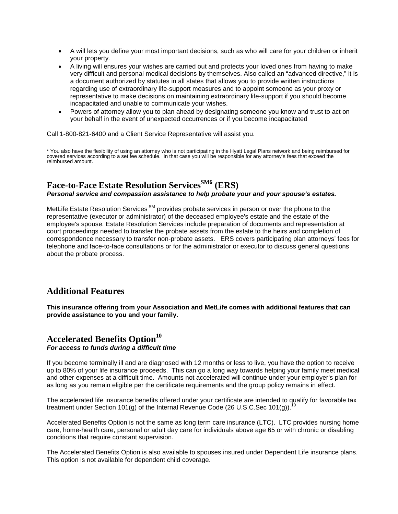- A will lets you define your most important decisions, such as who will care for your children or inherit your property.
- A living will ensures your wishes are carried out and protects your loved ones from having to make very difficult and personal medical decisions by themselves. Also called an "advanced directive," it is a document authorized by statutes in all states that allows you to provide written instructions regarding use of extraordinary life-support measures and to appoint someone as your proxy or representative to make decisions on maintaining extraordinary life-support if you should become incapacitated and unable to communicate your wishes.
- Powers of attorney allow you to plan ahead by designating someone you know and trust to act on your behalf in the event of unexpected occurrences or if you become incapacitated

Call 1-800-821-6400 and a Client Service Representative will assist you.

\* You also have the flexibility of using an attorney who is not participating in the Hyatt Legal Plans network and being reimbursed for covered services according to a set fee schedule. In that case you will be responsible for any attorney's fees that exceed the reimbursed amount.

#### **Face-to-Face Estate Resolution ServicesSM6 (ERS)** *Personal service and compassion assistance to help probate your and your spouse's estates.*

MetLife Estate Resolution Services<sup>SM</sup> provides probate services in person or over the phone to the representative (executor or administrator) of the deceased employee's estate and the estate of the employee's spouse. Estate Resolution Services include preparation of documents and representation at court proceedings needed to transfer the probate assets from the estate to the heirs and completion of correspondence necessary to transfer non-probate assets. ERS covers participating plan attorneys' fees for telephone and face-to-face consultations or for the administrator or executor to discuss general questions about the probate process.

## **Additional Features**

**This insurance offering from your Association and MetLife comes with additional features that can provide assistance to you and your family.**

#### **Accelerated Benefits Option<sup>10</sup>** *For access to funds during a difficult time*

If you become terminally ill and are diagnosed with 12 months or less to live, you have the option to receive up to 80% of your life insurance proceeds. This can go a long way towards helping your family meet medical and other expenses at a difficult time. Amounts not accelerated will continue under your employer's plan for as long as you remain eligible per the certificate requirements and the group policy remains in effect.

The accelerated life insurance benefits offered under your certificate are intended to qualify for favorable tax treatment under Section 101(g) of the Internal Revenue Code (26 U.S.C.Sec 101(g)).

Accelerated Benefits Option is not the same as long term care insurance (LTC). LTC provides nursing home care, home-health care, personal or adult day care for individuals above age 65 or with chronic or disabling conditions that require constant supervision.

The Accelerated Benefits Option is also available to spouses insured under Dependent Life insurance plans. This option is not available for dependent child coverage.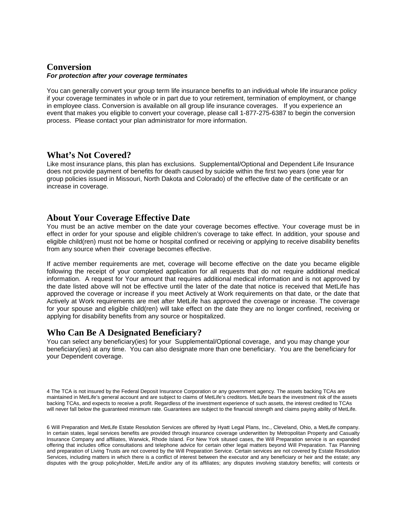#### **Conversion** *For protection after your coverage terminates*

You can generally convert your group term life insurance benefits to an individual whole life insurance policy if your coverage terminates in whole or in part due to your retirement, termination of employment, or change in employee class. Conversion is available on all group life insurance coverages. If you experience an event that makes you eligible to convert your coverage, please call 1-877-275-6387 to begin the conversion process. Please contact your plan administrator for more information.

#### **What's Not Covered?**

Like most insurance plans, this plan has exclusions. Supplemental/Optional and Dependent Life Insurance does not provide payment of benefits for death caused by suicide within the first two years (one year for group policies issued in Missouri, North Dakota and Colorado) of the effective date of the certificate or an increase in coverage.

## **About Your Coverage Effective Date**

You must be an active member on the date your coverage becomes effective. Your coverage must be in effect in order for your spouse and eligible children's coverage to take effect. In addition, your spouse and eligible child(ren) must not be home or hospital confined or receiving or applying to receive disability benefits from any source when their coverage becomes effective.

If active member requirements are met, coverage will become effective on the date you became eligible following the receipt of your completed application for all requests that do not require additional medical information. A request for Your amount that requires additional medical information and is not approved by the date listed above will not be effective until the later of the date that notice is received that MetLife has approved the coverage or increase if you meet Actively at Work requirements on that date, or the date that Actively at Work requirements are met after MetLife has approved the coverage or increase. The coverage for your spouse and eligible child(ren) will take effect on the date they are no longer confined, receiving or applying for disability benefits from any source or hospitalized.

#### **Who Can Be A Designated Beneficiary?**

You can select any beneficiary(ies) for your Supplemental/Optional coverage, and you may change your beneficiary(ies) at any time. You can also designate more than one beneficiary. You are the beneficiary for your Dependent coverage.

4 The TCA is not insured by the Federal Deposit Insurance Corporation or any government agency. The assets backing TCAs are maintained in MetLife's general account and are subject to claims of MetLife's creditors. MetLife bears the investment risk of the assets backing TCAs, and expects to receive a profit. Regardless of the investment experience of such assets, the interest credited to TCAs will never fall below the guaranteed minimum rate. Guarantees are subject to the financial strength and claims paying ability of MetLife.

6 Will Preparation and MetLife Estate Resolution Services are offered by Hyatt Legal Plans, Inc., Cleveland, Ohio, a MetLife company. In certain states, legal services benefits are provided through insurance coverage underwritten by Metropolitan Property and Casualty Insurance Company and affiliates, Warwick, Rhode Island. For New York sitused cases, the Will Preparation service is an expanded offering that includes office consultations and telephone advice for certain other legal matters beyond Will Preparation. Tax Planning and preparation of Living Trusts are not covered by the Will Preparation Service. Certain services are not covered by Estate Resolution Services, including matters in which there is a conflict of interest between the executor and any beneficiary or heir and the estate; any disputes with the group policyholder, MetLife and/or any of its affiliates; any disputes involving statutory benefits; will contests or